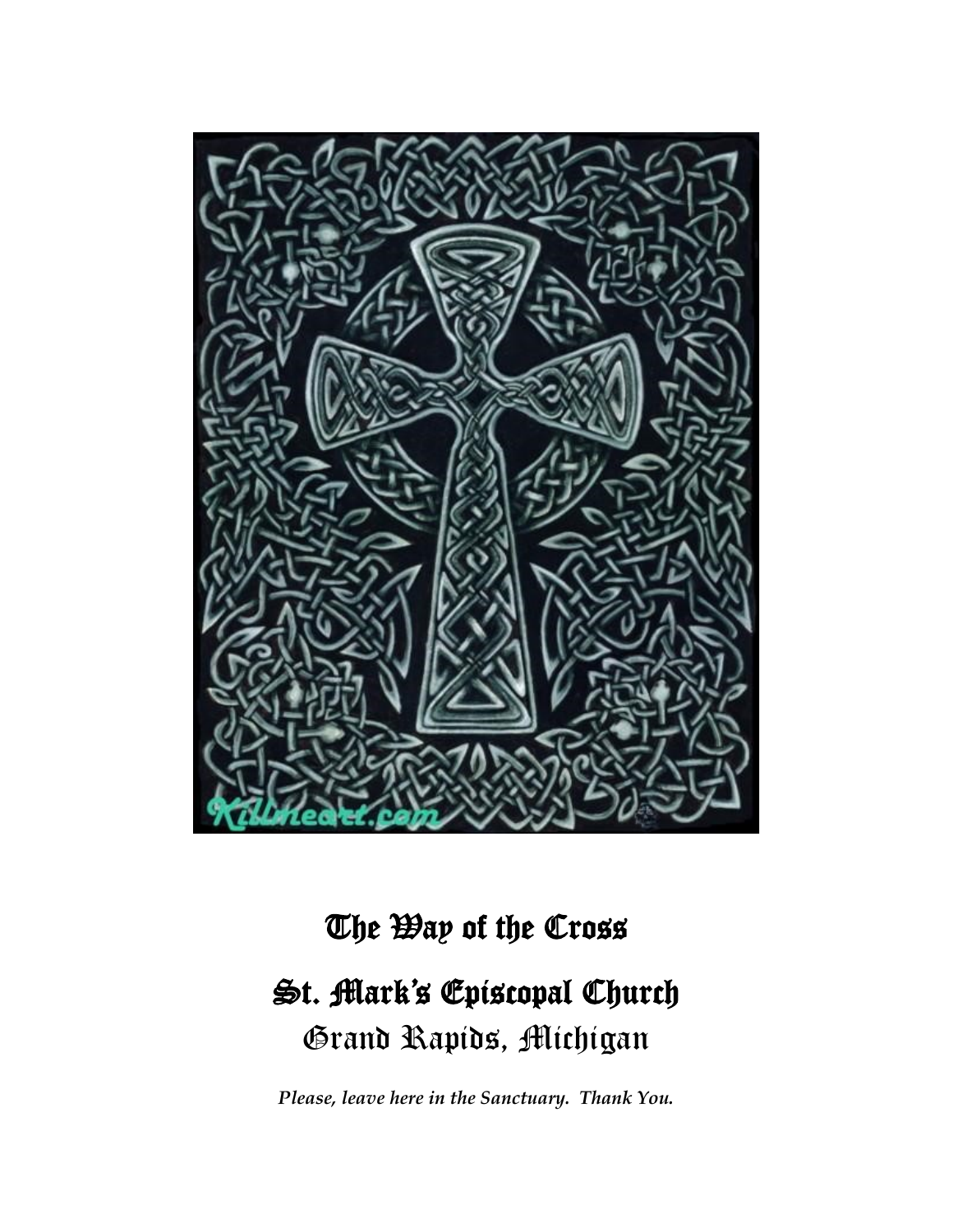

# The Way of the Cross St. Mark's Episcopal Church Grand Rapids, Michigan

*Please, leave here in the Sanctuary. Thank You.*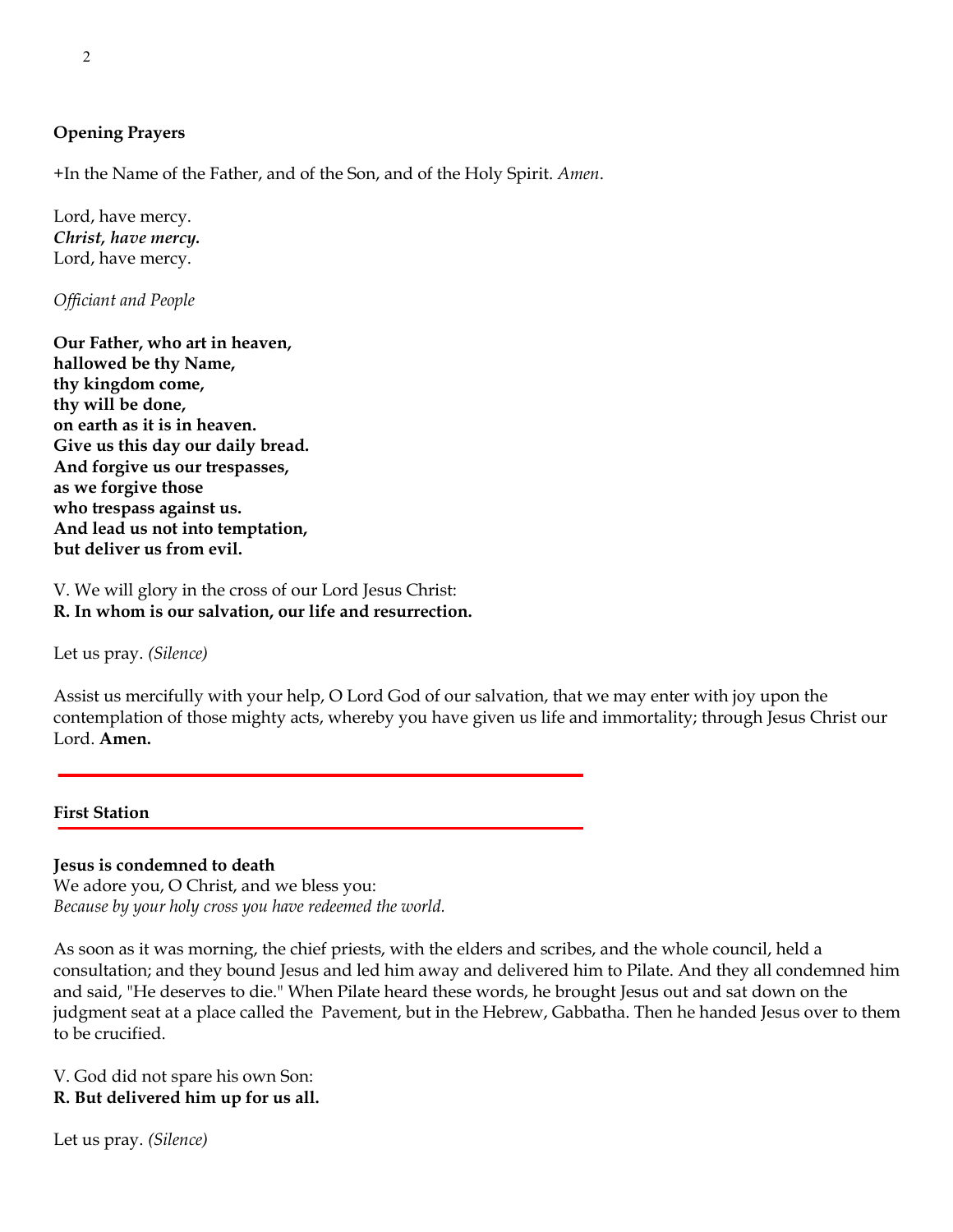# **Opening Prayers**

+In the Name of the Father, and of the Son, and of the Holy Spirit. *Amen*.

Lord, have mercy. *Christ, have mercy.* Lord, have mercy.

*Officiant and People*

**Our Father, who art in heaven, hallowed be thy Name, thy kingdom come, thy will be done, on earth as it is in heaven. Give us this day our daily bread. And forgive us our trespasses, as we forgive those who trespass against us. And lead us not into temptation, but deliver us from evil.** 

V. We will glory in the cross of our Lord Jesus Christ: **R. In whom is our salvation, our life and resurrection.**

Let us pray. *(Silence)*

Assist us mercifully with your help, O Lord God of our salvation, that we may enter with joy upon the contemplation of those mighty acts, whereby you have given us life and immortality; through Jesus Christ our Lord. **Amen.**

## **First Station**

**Jesus is condemned to death**

We adore you, O Christ, and we bless you: *Because by your holy cross you have redeemed the world.*

As soon as it was morning, the chief priests, with the elders and scribes, and the whole council, held a consultation; and they bound Jesus and led him away and delivered him to Pilate. And they all condemned him and said, "He deserves to die." When Pilate heard these words, he brought Jesus out and sat down on the judgment seat at a place called the Pavement, but in the Hebrew, Gabbatha. Then he handed Jesus over to them to be crucified.

V. God did not spare his own Son: **R. But delivered him up for us all.**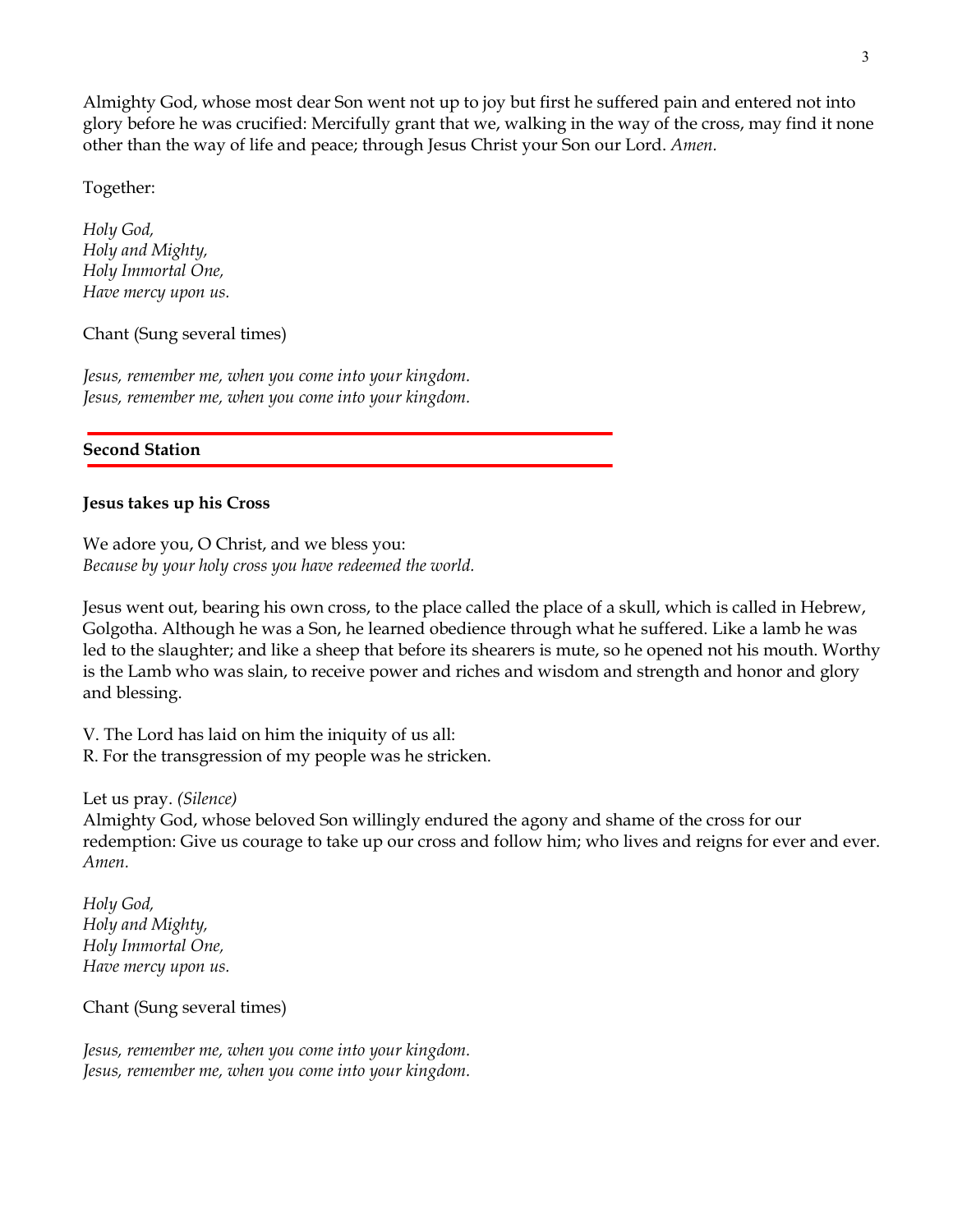Almighty God, whose most dear Son went not up to joy but first he suffered pain and entered not into glory before he was crucified: Mercifully grant that we, walking in the way of the cross, may find it none other than the way of life and peace; through Jesus Christ your Son our Lord. *Amen.*

Together:

*Holy God, Holy and Mighty, Holy Immortal One, Have mercy upon us.*

Chant (Sung several times)

*Jesus, remember me, when you come into your kingdom. Jesus, remember me, when you come into your kingdom.*

**Second Station**

# **Jesus takes up his Cross**

We adore you, O Christ, and we bless you: *Because by your holy cross you have redeemed the world.*

Jesus went out, bearing his own cross, to the place called the place of a skull, which is called in Hebrew, Golgotha. Although he was a Son, he learned obedience through what he suffered. Like a lamb he was led to the slaughter; and like a sheep that before its shearers is mute, so he opened not his mouth. Worthy is the Lamb who was slain, to receive power and riches and wisdom and strength and honor and glory and blessing.

V. The Lord has laid on him the iniquity of us all: R. For the transgression of my people was he stricken.

Let us pray. *(Silence)*

Almighty God, whose beloved Son willingly endured the agony and shame of the cross for our redemption: Give us courage to take up our cross and follow him; who lives and reigns for ever and ever. *Amen.*

*Holy God, Holy and Mighty, Holy Immortal One, Have mercy upon us.*

Chant (Sung several times)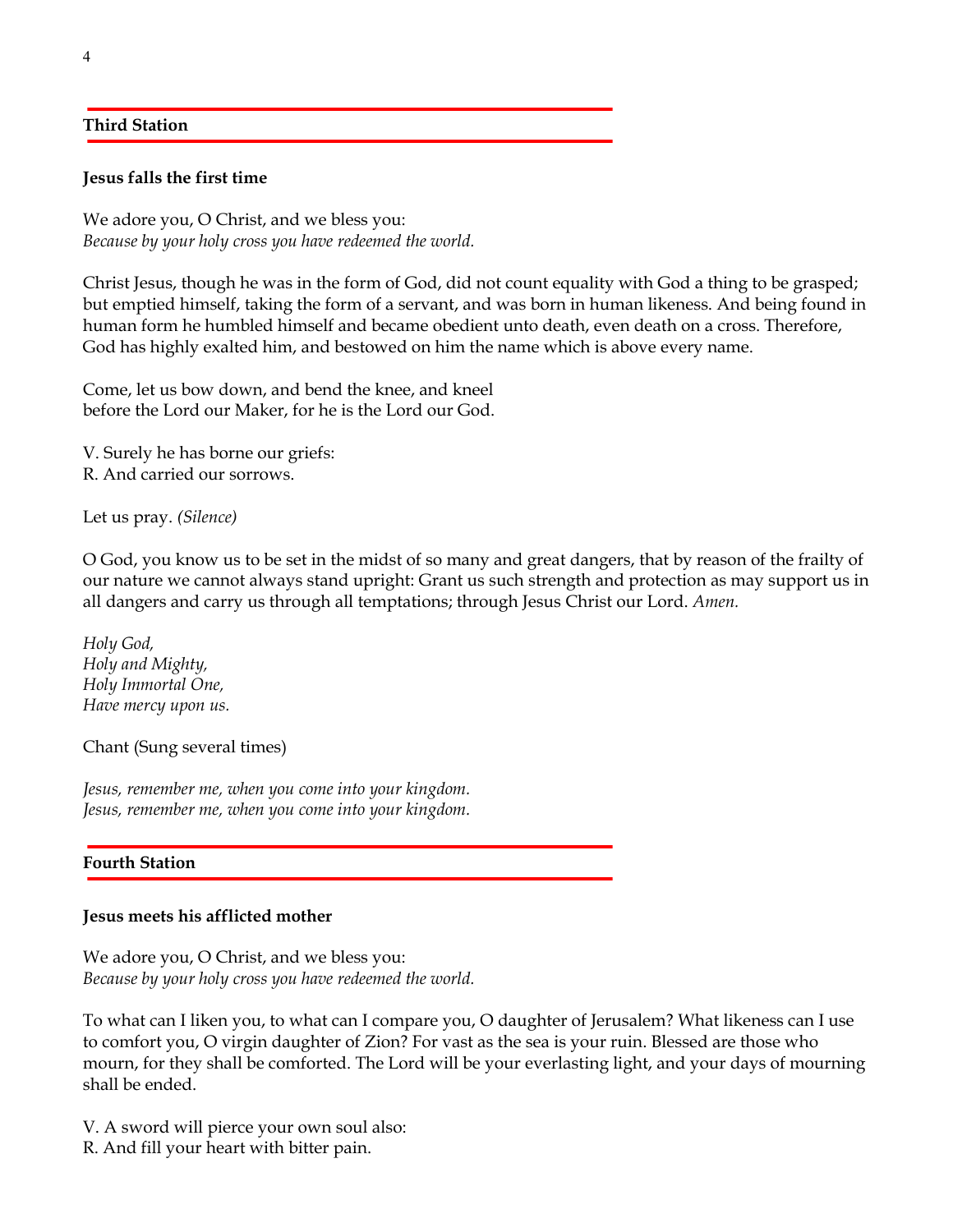## **Third Station**

#### **Jesus falls the first time**

We adore you, O Christ, and we bless you: *Because by your holy cross you have redeemed the world.*

Christ Jesus, though he was in the form of God, did not count equality with God a thing to be grasped; but emptied himself, taking the form of a servant, and was born in human likeness. And being found in human form he humbled himself and became obedient unto death, even death on a cross. Therefore, God has highly exalted him, and bestowed on him the name which is above every name.

Come, let us bow down, and bend the knee, and kneel before the Lord our Maker, for he is the Lord our God.

V. Surely he has borne our griefs: R. And carried our sorrows.

Let us pray. *(Silence)*

O God, you know us to be set in the midst of so many and great dangers, that by reason of the frailty of our nature we cannot always stand upright: Grant us such strength and protection as may support us in all dangers and carry us through all temptations; through Jesus Christ our Lord. *Amen.*

*Holy God, Holy and Mighty, Holy Immortal One, Have mercy upon us.*

Chant (Sung several times)

*Jesus, remember me, when you come into your kingdom. Jesus, remember me, when you come into your kingdom.*

### **Fourth Station**

#### **Jesus meets his afflicted mother**

We adore you, O Christ, and we bless you: *Because by your holy cross you have redeemed the world.*

To what can I liken you, to what can I compare you, O daughter of Jerusalem? What likeness can I use to comfort you, O virgin daughter of Zion? For vast as the sea is your ruin. Blessed are those who mourn, for they shall be comforted. The Lord will be your everlasting light, and your days of mourning shall be ended.

V. A sword will pierce your own soul also:

R. And fill your heart with bitter pain.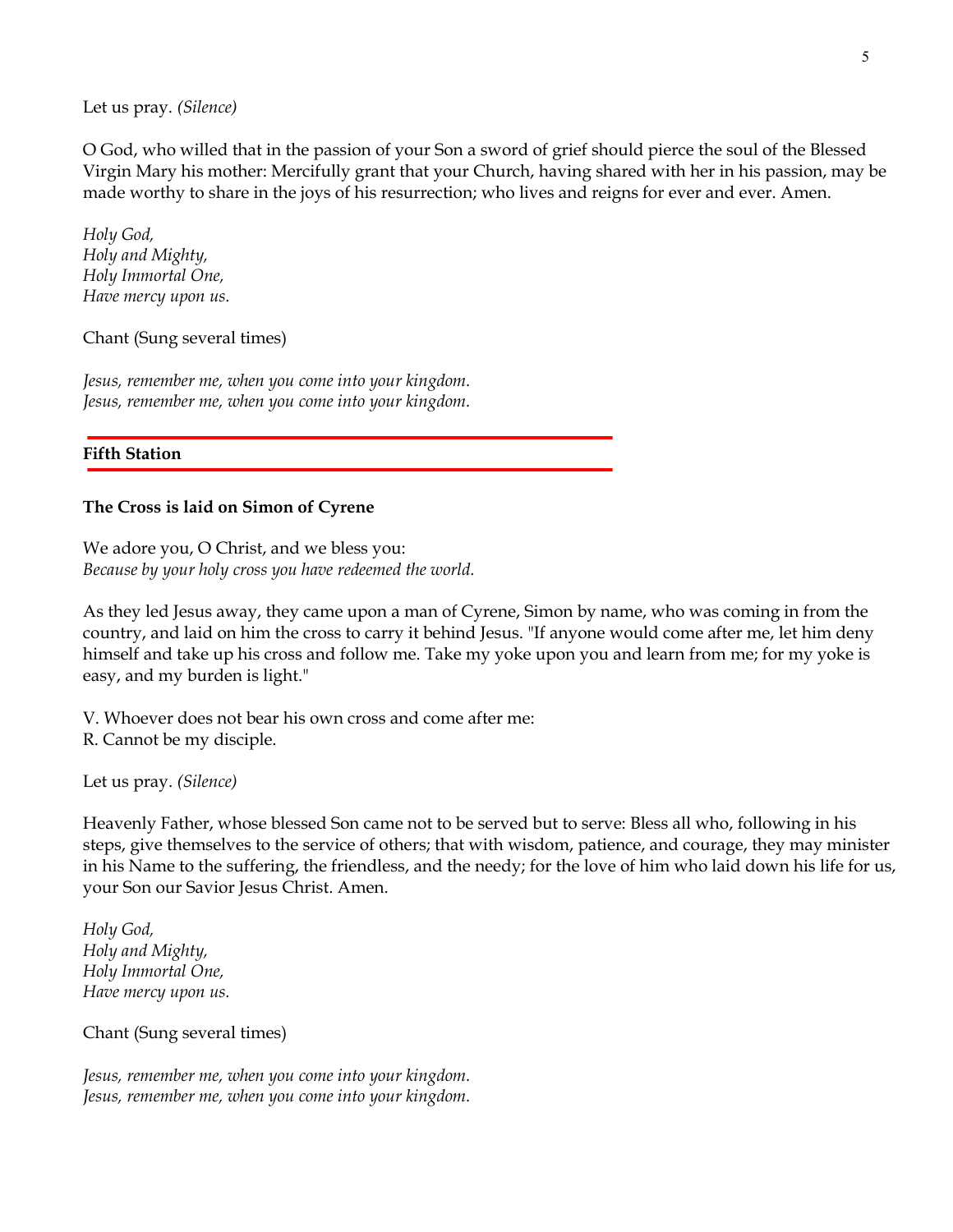Let us pray. *(Silence)*

O God, who willed that in the passion of your Son a sword of grief should pierce the soul of the Blessed Virgin Mary his mother: Mercifully grant that your Church, having shared with her in his passion, may be made worthy to share in the joys of his resurrection; who lives and reigns for ever and ever. Amen.

*Holy God, Holy and Mighty, Holy Immortal One, Have mercy upon us.*

Chant (Sung several times)

*Jesus, remember me, when you come into your kingdom. Jesus, remember me, when you come into your kingdom.*

**Fifth Station**

#### **The Cross is laid on Simon of Cyrene**

We adore you, O Christ, and we bless you: *Because by your holy cross you have redeemed the world.*

As they led Jesus away, they came upon a man of Cyrene, Simon by name, who was coming in from the country, and laid on him the cross to carry it behind Jesus. "If anyone would come after me, let him deny himself and take up his cross and follow me. Take my yoke upon you and learn from me; for my yoke is easy, and my burden is light."

V. Whoever does not bear his own cross and come after me:

R. Cannot be my disciple.

Let us pray. *(Silence)*

Heavenly Father, whose blessed Son came not to be served but to serve: Bless all who, following in his steps, give themselves to the service of others; that with wisdom, patience, and courage, they may minister in his Name to the suffering, the friendless, and the needy; for the love of him who laid down his life for us, your Son our Savior Jesus Christ. Amen.

*Holy God, Holy and Mighty, Holy Immortal One, Have mercy upon us.*

Chant (Sung several times)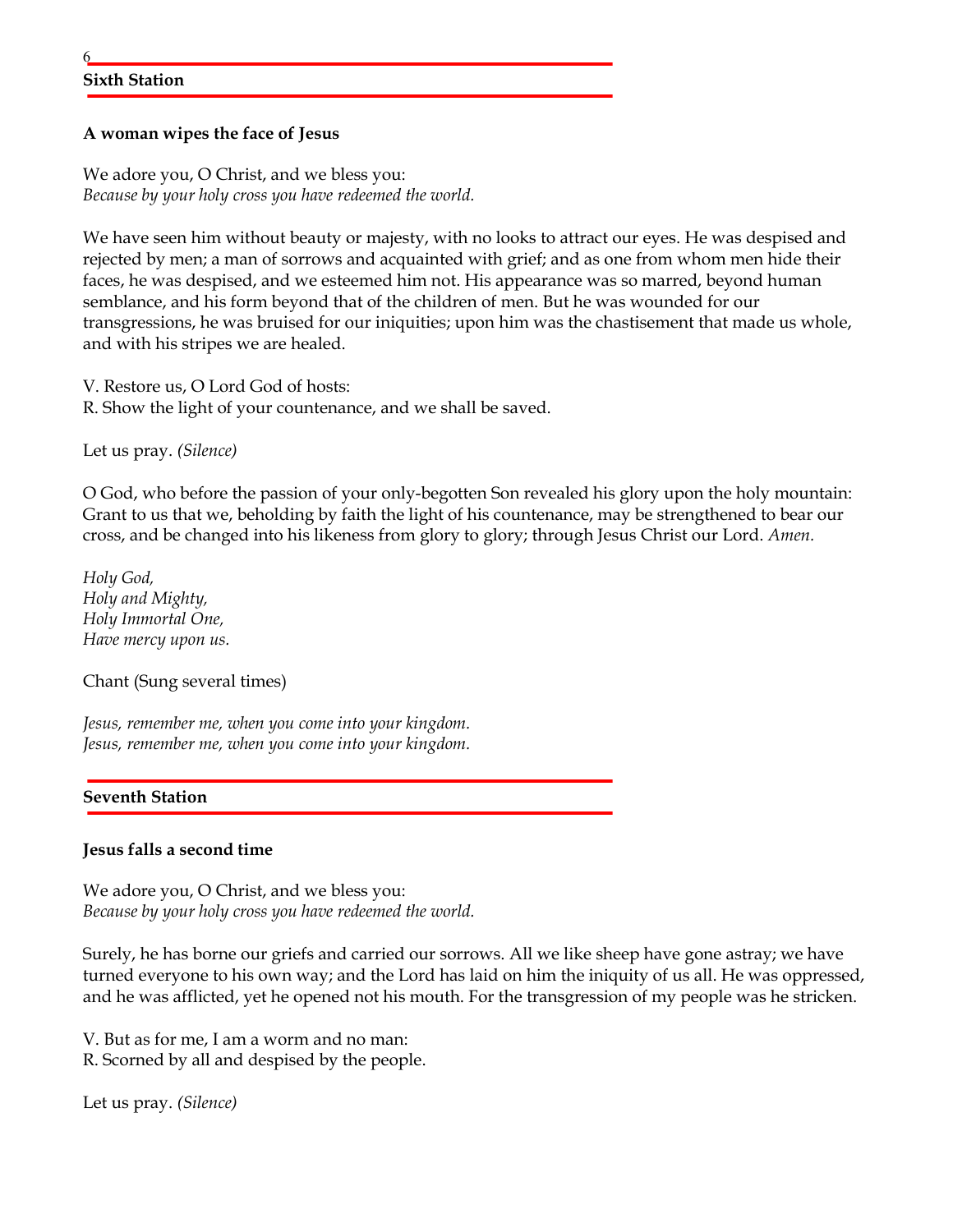# **Sixth Station**

## **A woman wipes the face of Jesus**

We adore you, O Christ, and we bless you: *Because by your holy cross you have redeemed the world.*

We have seen him without beauty or majesty, with no looks to attract our eyes. He was despised and rejected by men; a man of sorrows and acquainted with grief; and as one from whom men hide their faces, he was despised, and we esteemed him not. His appearance was so marred, beyond human semblance, and his form beyond that of the children of men. But he was wounded for our transgressions, he was bruised for our iniquities; upon him was the chastisement that made us whole, and with his stripes we are healed.

V. Restore us, O Lord God of hosts: R. Show the light of your countenance, and we shall be saved.

Let us pray. *(Silence)*

O God, who before the passion of your only-begotten Son revealed his glory upon the holy mountain: Grant to us that we, beholding by faith the light of his countenance, may be strengthened to bear our cross, and be changed into his likeness from glory to glory; through Jesus Christ our Lord. *Amen.*

*Holy God, Holy and Mighty, Holy Immortal One, Have mercy upon us.*

Chant (Sung several times)

*Jesus, remember me, when you come into your kingdom. Jesus, remember me, when you come into your kingdom.*

#### **Seventh Station**

#### **Jesus falls a second time**

We adore you, O Christ, and we bless you: *Because by your holy cross you have redeemed the world.*

Surely, he has borne our griefs and carried our sorrows. All we like sheep have gone astray; we have turned everyone to his own way; and the Lord has laid on him the iniquity of us all. He was oppressed, and he was afflicted, yet he opened not his mouth. For the transgression of my people was he stricken.

V. But as for me, I am a worm and no man: R. Scorned by all and despised by the people.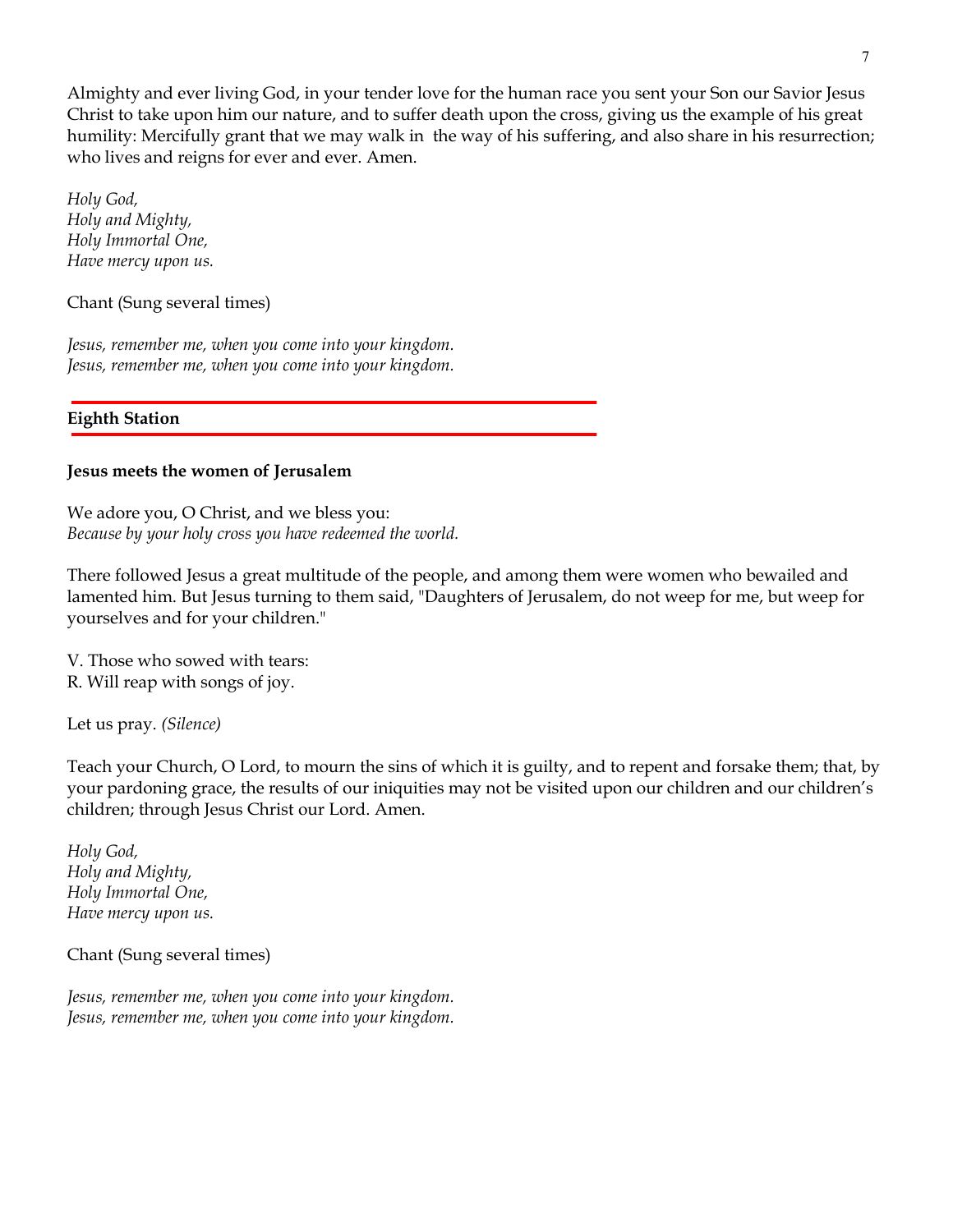Almighty and ever living God, in your tender love for the human race you sent your Son our Savior Jesus Christ to take upon him our nature, and to suffer death upon the cross, giving us the example of his great humility: Mercifully grant that we may walk in the way of his suffering, and also share in his resurrection; who lives and reigns for ever and ever. Amen.

*Holy God, Holy and Mighty, Holy Immortal One, Have mercy upon us.*

Chant (Sung several times)

*Jesus, remember me, when you come into your kingdom. Jesus, remember me, when you come into your kingdom.*

#### **Eighth Station**

#### **Jesus meets the women of Jerusalem**

We adore you, O Christ, and we bless you: *Because by your holy cross you have redeemed the world.*

There followed Jesus a great multitude of the people, and among them were women who bewailed and lamented him. But Jesus turning to them said, "Daughters of Jerusalem, do not weep for me, but weep for yourselves and for your children."

V. Those who sowed with tears: R. Will reap with songs of joy.

Let us pray. *(Silence)*

Teach your Church, O Lord, to mourn the sins of which it is guilty, and to repent and forsake them; that, by your pardoning grace, the results of our iniquities may not be visited upon our children and our children's children; through Jesus Christ our Lord. Amen.

*Holy God, Holy and Mighty, Holy Immortal One, Have mercy upon us.*

Chant (Sung several times)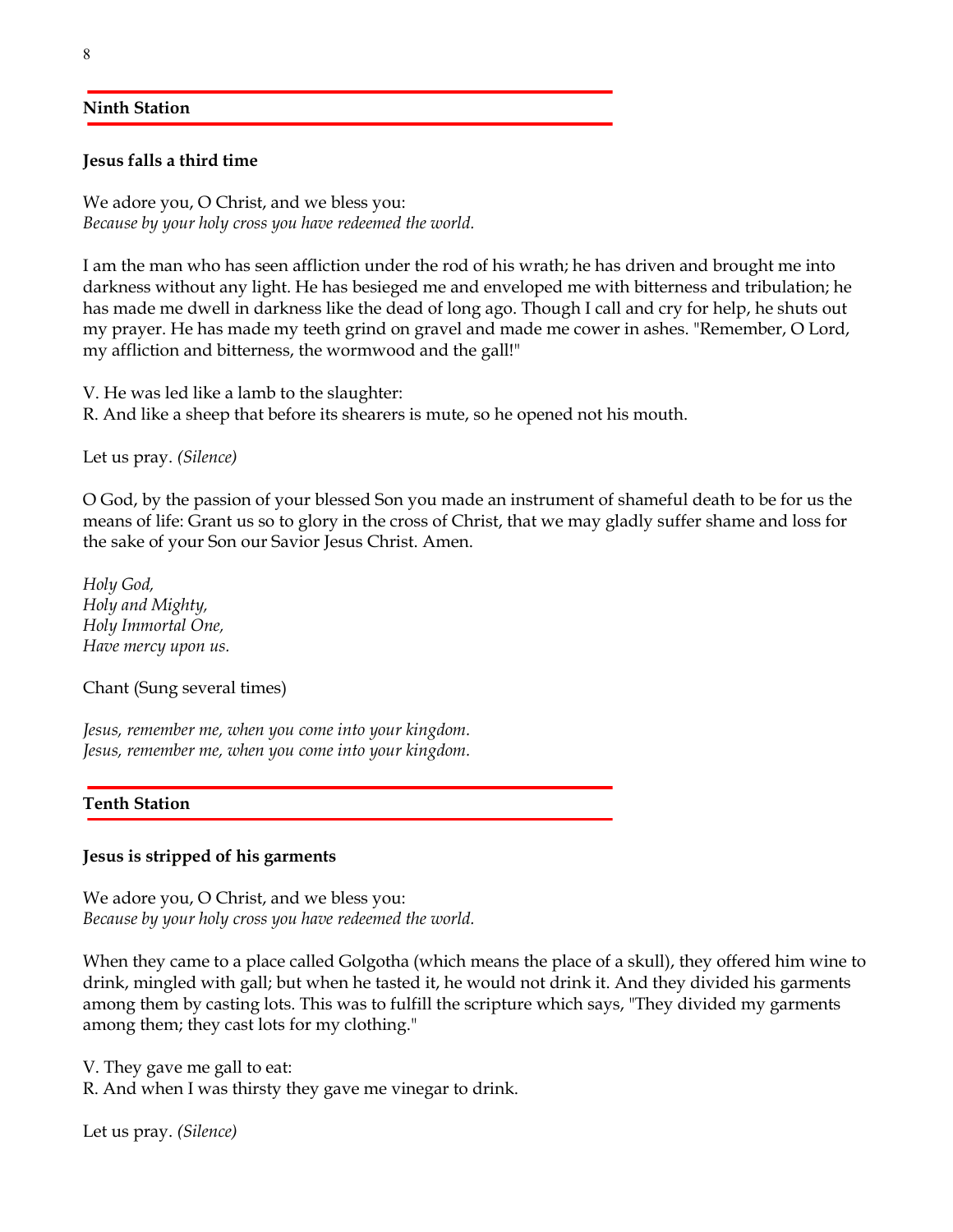#### **Ninth Station**

#### **Jesus falls a third time**

We adore you, O Christ, and we bless you: *Because by your holy cross you have redeemed the world.*

I am the man who has seen affliction under the rod of his wrath; he has driven and brought me into darkness without any light. He has besieged me and enveloped me with bitterness and tribulation; he has made me dwell in darkness like the dead of long ago. Though I call and cry for help, he shuts out my prayer. He has made my teeth grind on gravel and made me cower in ashes. "Remember, O Lord, my affliction and bitterness, the wormwood and the gall!"

V. He was led like a lamb to the slaughter: R. And like a sheep that before its shearers is mute, so he opened not his mouth.

Let us pray. *(Silence)*

O God, by the passion of your blessed Son you made an instrument of shameful death to be for us the means of life: Grant us so to glory in the cross of Christ, that we may gladly suffer shame and loss for the sake of your Son our Savior Jesus Christ. Amen.

*Holy God, Holy and Mighty, Holy Immortal One, Have mercy upon us.*

Chant (Sung several times)

*Jesus, remember me, when you come into your kingdom. Jesus, remember me, when you come into your kingdom.*

#### **Tenth Station**

#### **Jesus is stripped of his garments**

We adore you, O Christ, and we bless you: *Because by your holy cross you have redeemed the world.*

When they came to a place called Golgotha (which means the place of a skull), they offered him wine to drink, mingled with gall; but when he tasted it, he would not drink it. And they divided his garments among them by casting lots. This was to fulfill the scripture which says, "They divided my garments among them; they cast lots for my clothing."

V. They gave me gall to eat: R. And when I was thirsty they gave me vinegar to drink.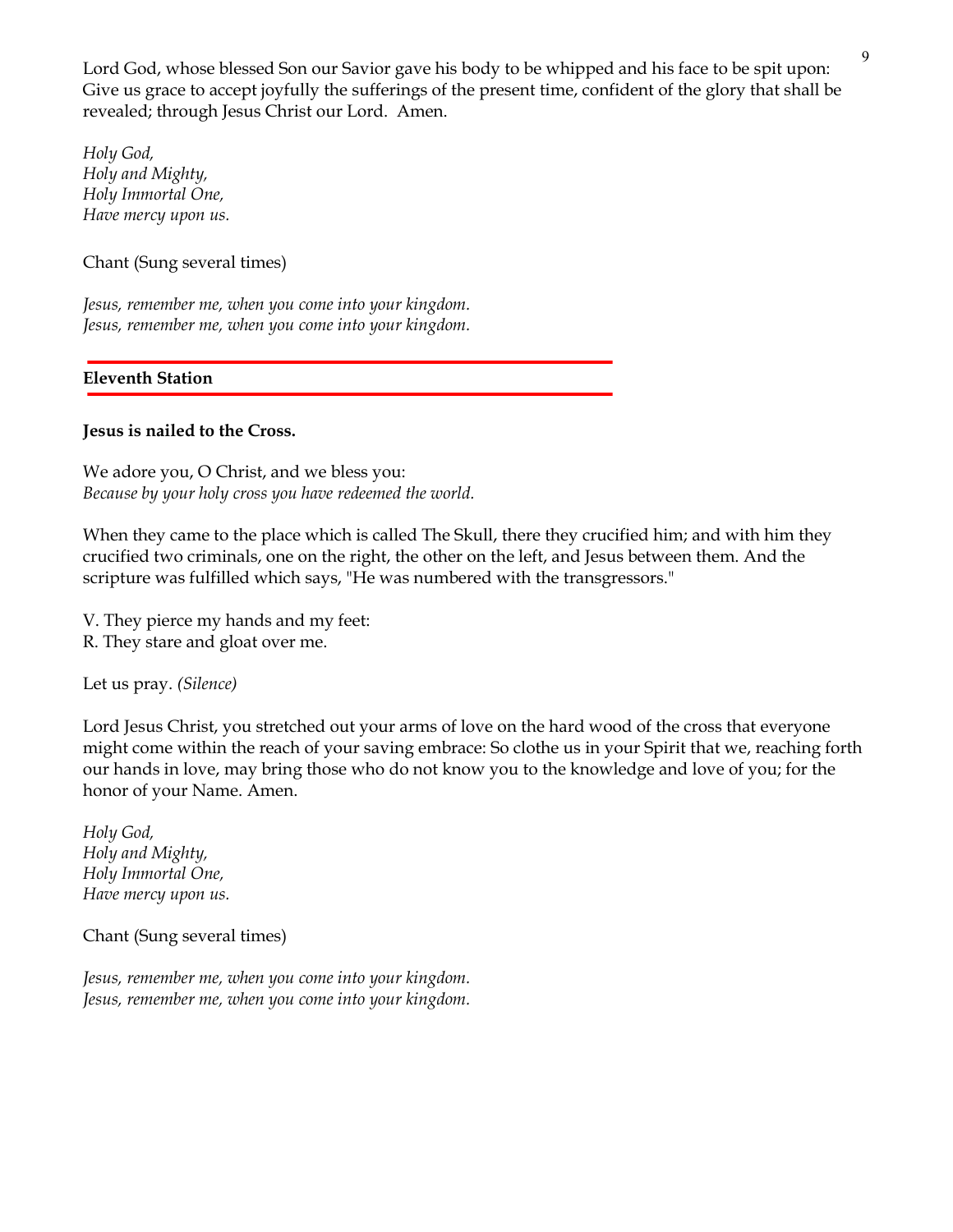Lord God, whose blessed Son our Savior gave his body to be whipped and his face to be spit upon: Give us grace to accept joyfully the sufferings of the present time, confident of the glory that shall be revealed; through Jesus Christ our Lord. Amen.

*Holy God, Holy and Mighty, Holy Immortal One, Have mercy upon us.*

Chant (Sung several times)

*Jesus, remember me, when you come into your kingdom. Jesus, remember me, when you come into your kingdom.*

**Eleventh Station**

#### **Jesus is nailed to the Cross.**

We adore you, O Christ, and we bless you: *Because by your holy cross you have redeemed the world.*

When they came to the place which is called The Skull, there they crucified him; and with him they crucified two criminals, one on the right, the other on the left, and Jesus between them. And the scripture was fulfilled which says, "He was numbered with the transgressors."

V. They pierce my hands and my feet: R. They stare and gloat over me.

Let us pray. *(Silence)*

Lord Jesus Christ, you stretched out your arms of love on the hard wood of the cross that everyone might come within the reach of your saving embrace: So clothe us in your Spirit that we, reaching forth our hands in love, may bring those who do not know you to the knowledge and love of you; for the honor of your Name. Amen.

*Holy God, Holy and Mighty, Holy Immortal One, Have mercy upon us.*

Chant (Sung several times)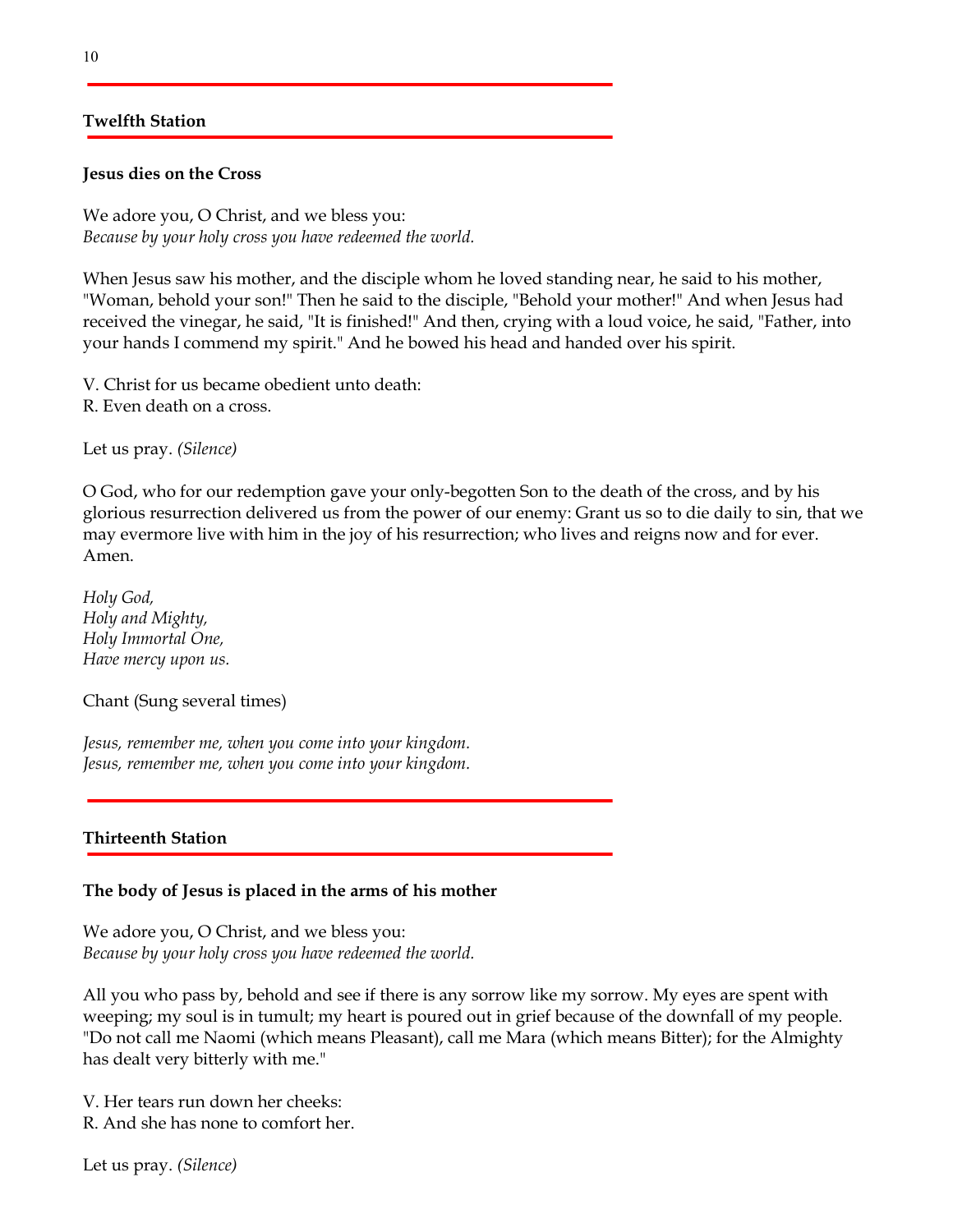## **Twelfth Station**

#### **Jesus dies on the Cross**

We adore you, O Christ, and we bless you: *Because by your holy cross you have redeemed the world.*

When Jesus saw his mother, and the disciple whom he loved standing near, he said to his mother, "Woman, behold your son!" Then he said to the disciple, "Behold your mother!" And when Jesus had received the vinegar, he said, "It is finished!" And then, crying with a loud voice, he said, "Father, into your hands I commend my spirit." And he bowed his head and handed over his spirit.

V. Christ for us became obedient unto death: R. Even death on a cross.

Let us pray. *(Silence)*

O God, who for our redemption gave your only-begotten Son to the death of the cross, and by his glorious resurrection delivered us from the power of our enemy: Grant us so to die daily to sin, that we may evermore live with him in the joy of his resurrection; who lives and reigns now and for ever. Amen.

*Holy God, Holy and Mighty, Holy Immortal One, Have mercy upon us.*

Chant (Sung several times)

*Jesus, remember me, when you come into your kingdom. Jesus, remember me, when you come into your kingdom.*

## **Thirteenth Station**

#### **The body of Jesus is placed in the arms of his mother**

We adore you, O Christ, and we bless you: *Because by your holy cross you have redeemed the world.*

All you who pass by, behold and see if there is any sorrow like my sorrow. My eyes are spent with weeping; my soul is in tumult; my heart is poured out in grief because of the downfall of my people. "Do not call me Naomi (which means Pleasant), call me Mara (which means Bitter); for the Almighty has dealt very bitterly with me."

V. Her tears run down her cheeks: R. And she has none to comfort her.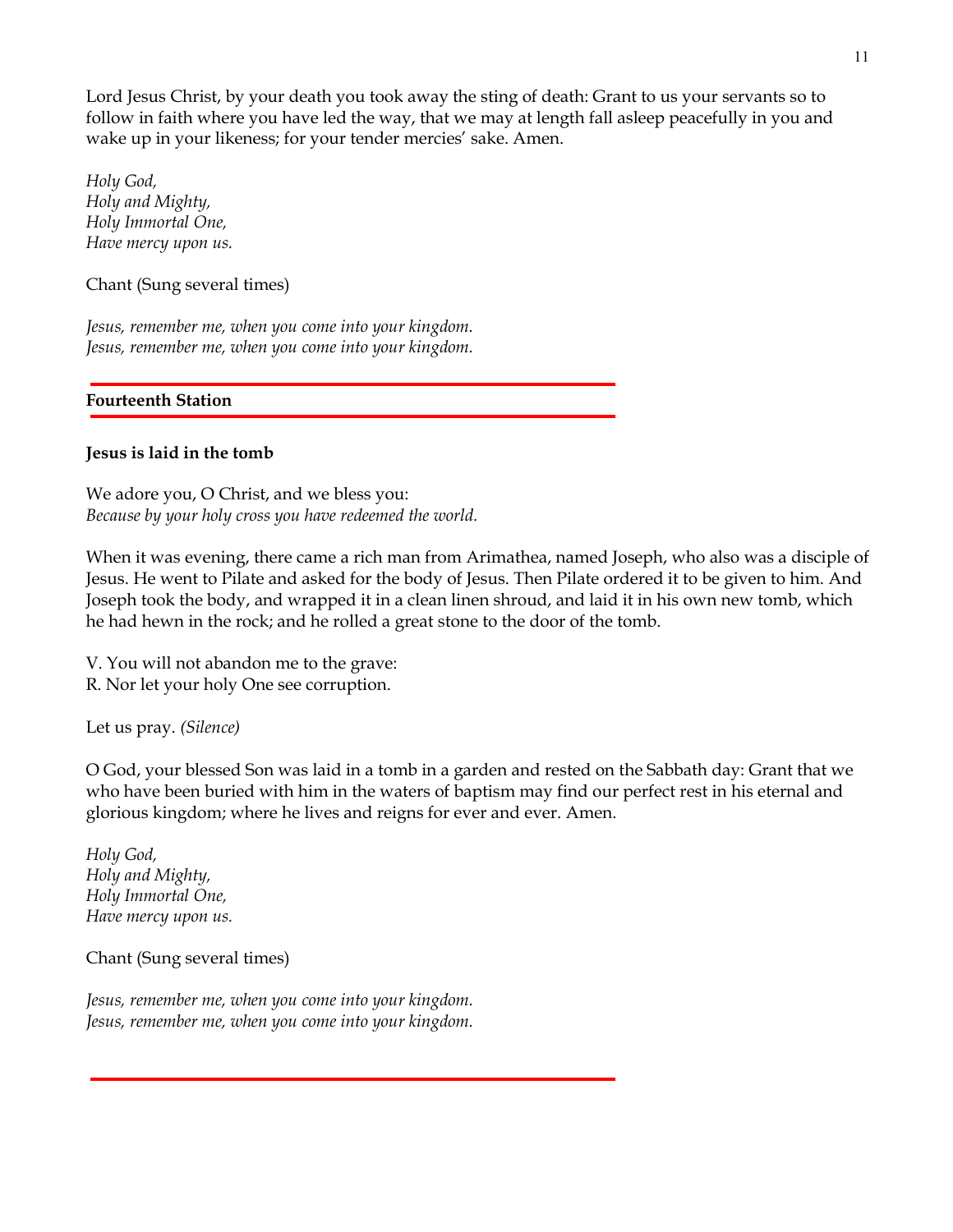Lord Jesus Christ, by your death you took away the sting of death: Grant to us your servants so to follow in faith where you have led the way, that we may at length fall asleep peacefully in you and wake up in your likeness; for your tender mercies' sake. Amen.

*Holy God, Holy and Mighty, Holy Immortal One, Have mercy upon us.*

Chant (Sung several times)

*Jesus, remember me, when you come into your kingdom. Jesus, remember me, when you come into your kingdom.*

## **Fourteenth Station**

# **Jesus is laid in the tomb**

We adore you, O Christ, and we bless you: *Because by your holy cross you have redeemed the world.*

When it was evening, there came a rich man from Arimathea, named Joseph, who also was a disciple of Jesus. He went to Pilate and asked for the body of Jesus. Then Pilate ordered it to be given to him. And Joseph took the body, and wrapped it in a clean linen shroud, and laid it in his own new tomb, which he had hewn in the rock; and he rolled a great stone to the door of the tomb.

V. You will not abandon me to the grave: R. Nor let your holy One see corruption.

Let us pray. *(Silence)*

O God, your blessed Son was laid in a tomb in a garden and rested on the Sabbath day: Grant that we who have been buried with him in the waters of baptism may find our perfect rest in his eternal and glorious kingdom; where he lives and reigns for ever and ever. Amen.

*Holy God, Holy and Mighty, Holy Immortal One, Have mercy upon us.*

Chant (Sung several times)